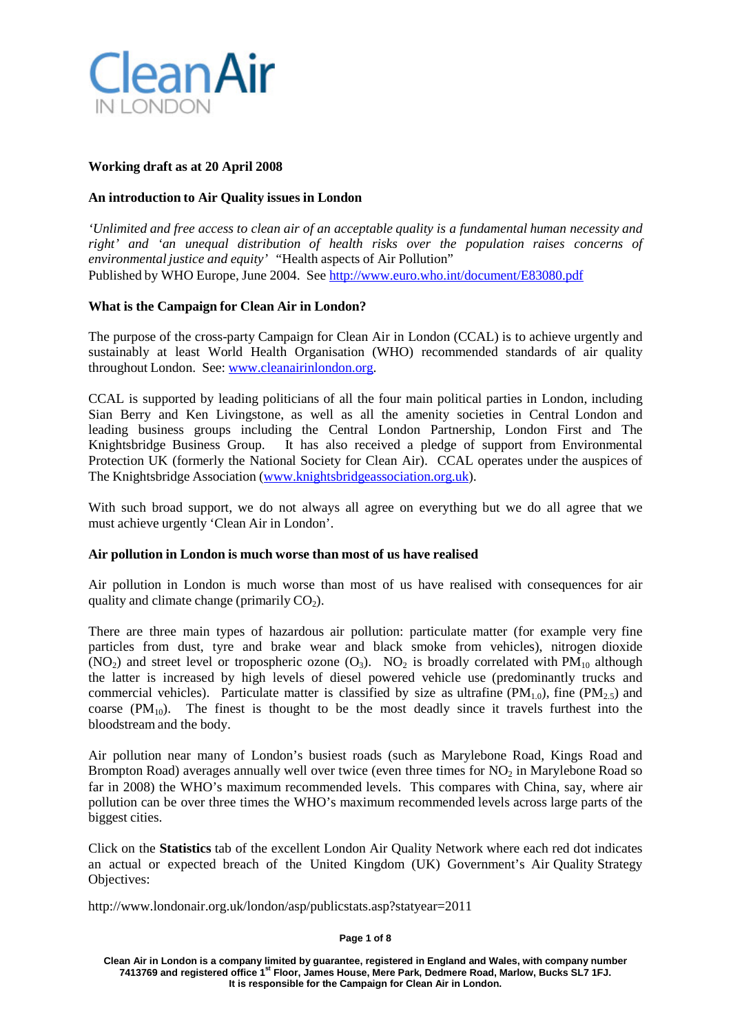

## **Working draft as at 20 April 2008**

# **An introduction to Air Quality issues in London**

*'Unlimited and free access to clean air of an acceptable quality is a fundamental human necessity and right' and 'an unequal distribution of health risks over the population raises concerns of environmental justice and equity' "*Health aspects of Air Pollution" Published by WHO Europe, June 2004. See <http://www.euro.who.int/document/E83080.pdf>

## **What is the Campaign for Clean Air in London?**

The purpose of the cross-party Campaign for Clean Air in London (CCAL) is to achieve urgently and sustainably at least World Health Organisation (WHO) recommended standards of air quality throughout London. See: [www.cleanairinlondon.org.](http://www.cleanairinlondon.org/)

CCAL is supported by leading politicians of all the four main political parties in London, including Sian Berry and Ken Livingstone, as well as all the amenity societies in Central London and leading business groups including the Central London Partnership, London First and The Knightsbridge Business Group. It has also received a pledge of support from Environmental Protection UK (formerly the National Society for Clean Air). CCAL operates under the auspices of The Knightsbridge Association [\(www.knightsbridgeassociation.org.uk\)](http://www.knightsbridgeassociation.org.uk/).

With such broad support, we do not always all agree on everything but we do all agree that we must achieve urgently 'Clean Air in London'.

## **Air pollution in London is much worse than most of us have realised**

Air pollution in London is much worse than most of us have realised with consequences for air quality and climate change (primarily  $CO<sub>2</sub>$ ).

There are three main types of hazardous air pollution: particulate matter (for example very fine particles from dust, tyre and brake wear and black smoke from vehicles), nitrogen dioxide (NO<sub>2</sub>) and street level or tropospheric ozone (O<sub>3</sub>). NO<sub>2</sub> is broadly correlated with PM<sub>10</sub> although the latter is increased by high levels of diesel powered vehicle use (predominantly trucks and commercial vehicles). Particulate matter is classified by size as ultrafine  $(PM_{1.0})$ , fine  $(PM_{2.5})$  and coarse  $(PM_{10})$ . The finest is thought to be the most deadly since it travels furthest into the bloodstream and the body.

Air pollution near many of London's busiest roads (such as Marylebone Road, Kings Road and Brompton Road) averages annually well over twice (even three times for  $NO<sub>2</sub>$  in Marylebone Road so far in 2008) the WHO's maximum recommended levels. This compares with China, say, where air pollution can be over three times the WHO's maximum recommended levels across large parts of the biggest cities.

Click on the **Statistics** tab of the excellent London Air Quality Network where each red dot indicates an actual or expected breach of the United Kingdom (UK) Government's Air Quality Strategy Objectives:

http://www.londonair.org.uk/london/asp/publicstats.asp?statyear=2011

#### **Page 1 of 8**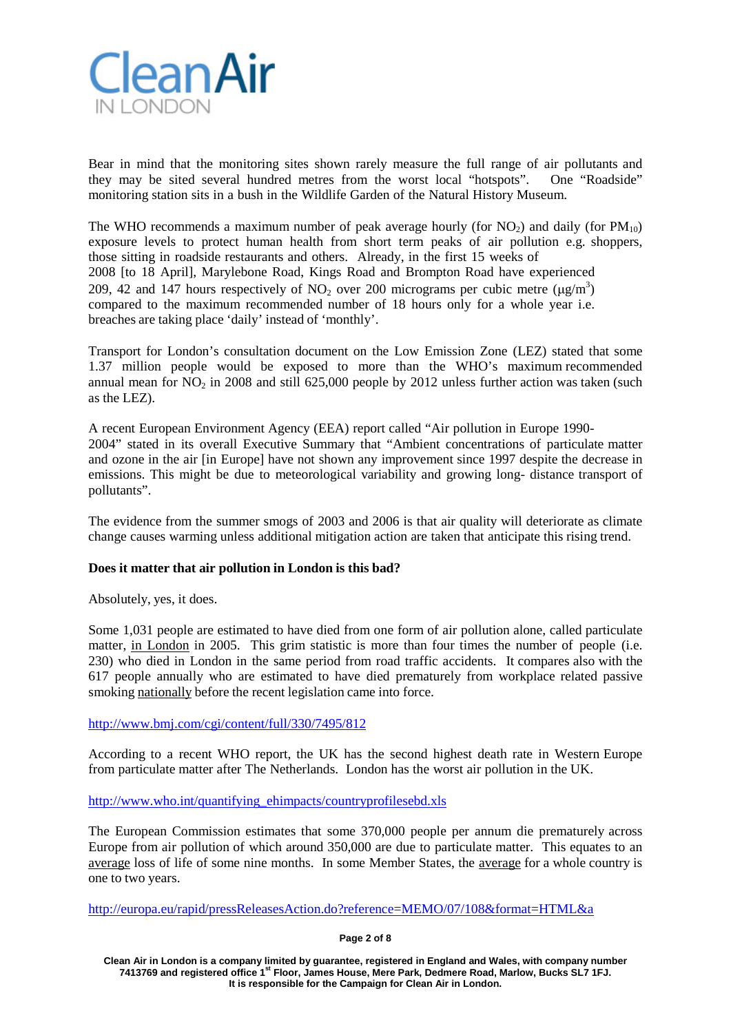

Bear in mind that the monitoring sites shown rarely measure the full range of air pollutants and they may be sited several hundred metres from the worst local "hotspots". One "Roadside" monitoring station sits in a bush in the Wildlife Garden of the Natural History Museum.

The WHO recommends a maximum number of peak average hourly (for  $NO_2$ ) and daily (for  $PM_{10}$ ) exposure levels to protect human health from short term peaks of air pollution e.g. shoppers, those sitting in roadside restaurants and others. Already, in the first 15 weeks of 2008 [to 18 April], Marylebone Road, Kings Road and Brompton Road have experienced 209, 42 and 147 hours respectively of NO<sub>2</sub> over 200 micrograms per cubic metre ( $\mu$ g/m<sup>3</sup>) compared to the maximum recommended number of 18 hours only for a whole year i.e. breaches are taking place 'daily' instead of 'monthly'.

Transport for London's consultation document on the Low Emission Zone (LEZ) stated that some 1.37 million people would be exposed to more than the WHO's maximum recommended annual mean for  $NO<sub>2</sub>$  in 2008 and still 625,000 people by 2012 unless further action was taken (such as the LEZ).

A recent European Environment Agency (EEA) report called "Air pollution in Europe 1990- 2004" stated in its overall Executive Summary that "Ambient concentrations of particulate matter and ozone in the air [in Europe] have not shown any improvement since 1997 despite the decrease in emissions. This might be due to meteorological variability and growing long- distance transport of pollutants".

The evidence from the summer smogs of 2003 and 2006 is that air quality will deteriorate as climate change causes warming unless additional mitigation action are taken that anticipate this rising trend.

## **Does it matter that air pollution in London is this bad?**

Absolutely, yes, it does.

Some 1,031 people are estimated to have died from one form of air pollution alone, called particulate matter, in London in 2005. This grim statistic is more than four times the number of people (i.e. 230) who died in London in the same period from road traffic accidents. It compares also with the 617 people annually who are estimated to have died prematurely from workplace related passive smoking nationally before the recent legislation came into force.

<http://www.bmj.com/cgi/content/full/330/7495/812>

According to a recent WHO report, the UK has the second highest death rate in Western Europe from particulate matter after The Netherlands. London has the worst air pollution in the UK.

[http://www.who.int/quantifying\\_ehimpacts/countryprofilesebd.xls](http://www.who.int/quantifying_ehimpacts/countryprofilesebd.xls)

The European Commission estimates that some 370,000 people per annum die prematurely across Europe from air pollution of which around 350,000 are due to particulate matter. This equates to an average loss of life of some nine months. In some Member States, the average for a whole country is one to two years.

[http://europa.eu/rapid/pressReleasesAction.do?reference=MEMO/07/108&format=HTML&a](http://europa.eu/rapid/pressReleasesAction.do?reference=MEMO/07/108&format=HTML&a%20ged=0&language=EN&guiLanguage=en)

**Page 2 of 8**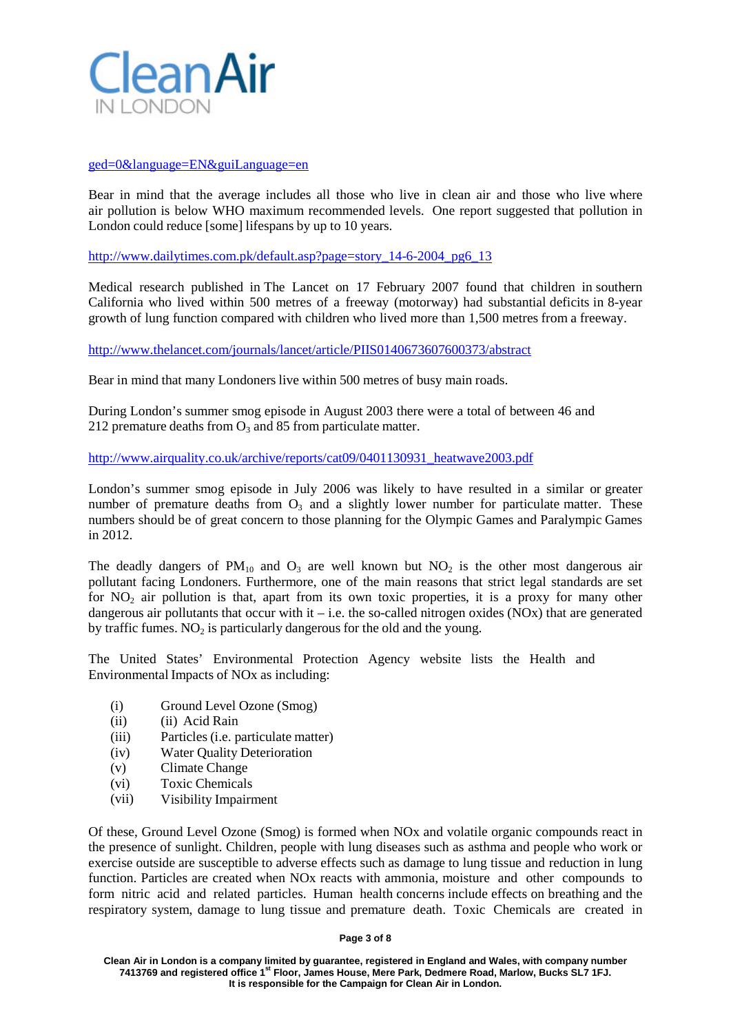

# [ged=0&language=EN&guiLanguage=en](http://europa.eu/rapid/pressReleasesAction.do?reference=MEMO/07/108&format=HTML&a%20ged=0&language=EN&guiLanguage=en)

Bear in mind that the average includes all those who live in clean air and those who live where air pollution is below WHO maximum recommended levels. One report suggested that pollution in London could reduce [some] lifespans by up to 10 years.

[http://www.dailytimes.com.pk/default.asp?page=story\\_14-6-2004\\_pg6\\_13](http://www.dailytimes.com.pk/default.asp?page=story_14-6-2004_pg6_13)

Medical research published in The Lancet on 17 February 2007 found that children in southern California who lived within 500 metres of a freeway (motorway) had substantial deficits in 8-year growth of lung function compared with children who lived more than 1,500 metres from a freeway.

<http://www.thelancet.com/journals/lancet/article/PIIS0140673607600373/abstract>

Bear in mind that many Londoners live within 500 metres of busy main roads.

During London's summer smog episode in August 2003 there were a total of between 46 and 212 premature deaths from  $O_3$  and 85 from particulate matter.

[http://www.airquality.co.uk/archive/reports/cat09/0401130931\\_heatwave2003.pdf](http://www.airquality.co.uk/archive/reports/cat09/0401130931_heatwave2003.pdf)

London's summer smog episode in July 2006 was likely to have resulted in a similar or greater number of premature deaths from  $O_3$  and a slightly lower number for particulate matter. These numbers should be of great concern to those planning for the Olympic Games and Paralympic Games in 2012.

The deadly dangers of  $PM_{10}$  and  $O_3$  are well known but  $NO_2$  is the other most dangerous air pollutant facing Londoners. Furthermore, one of the main reasons that strict legal standards are set for  $NO<sub>2</sub>$  air pollution is that, apart from its own toxic properties, it is a proxy for many other dangerous air pollutants that occur with it – i.e. the so-called nitrogen oxides (NOx) that are generated by traffic fumes.  $NO<sub>2</sub>$  is particularly dangerous for the old and the young.

The United States' Environmental Protection Agency website lists the Health and Environmental Impacts of NOx as including:

- (i) Ground Level Ozone (Smog)
- (ii) (ii) Acid Rain
- (iii) Particles (i.e. particulate matter)
- (iv) Water Quality Deterioration
- (v) Climate Change
- (vi) Toxic Chemicals
- (vii) Visibility Impairment

Of these, Ground Level Ozone (Smog) is formed when NOx and volatile organic compounds react in the presence of sunlight. Children, people with lung diseases such as asthma and people who work or exercise outside are susceptible to adverse effects such as damage to lung tissue and reduction in lung function. Particles are created when NOx reacts with ammonia, moisture and other compounds to form nitric acid and related particles. Human health concerns include effects on breathing and the respiratory system, damage to lung tissue and premature death. Toxic Chemicals are created in

#### **Page 3 of 8**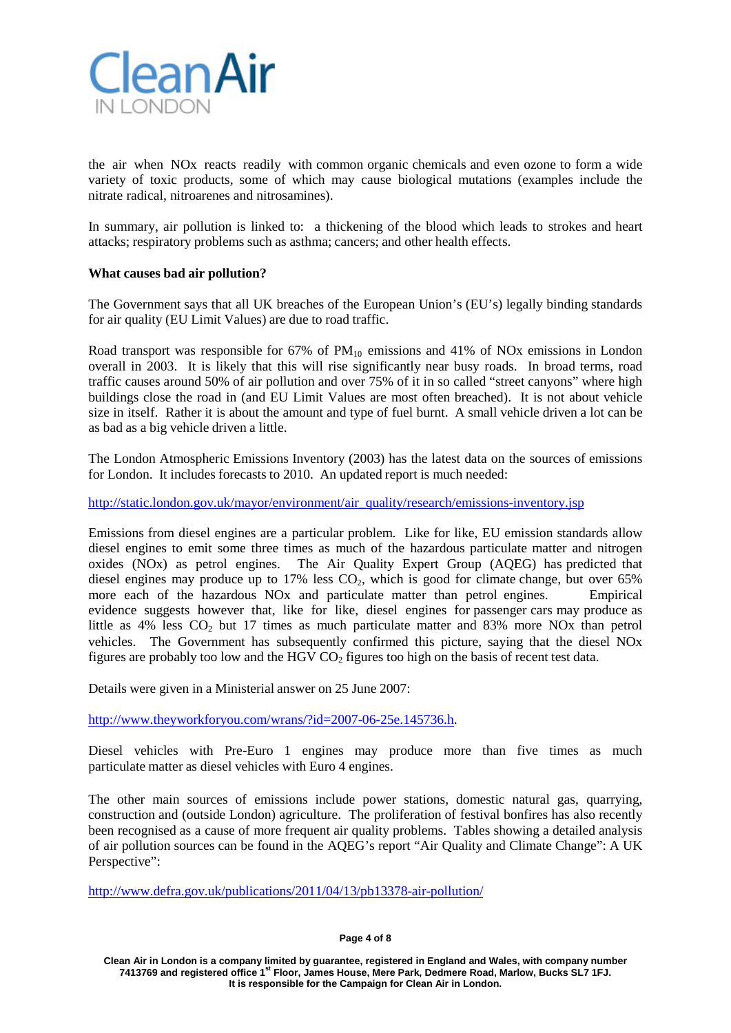

the air when NOx reacts readily with common organic chemicals and even ozone to form a wide variety of toxic products, some of which may cause biological mutations (examples include the nitrate radical, nitroarenes and nitrosamines).

In summary, air pollution is linked to: a thickening of the blood which leads to strokes and heart attacks; respiratory problems such as asthma; cancers; and other health effects.

## **What causes bad air pollution?**

The Government says that all UK breaches of the European Union's (EU's) legally binding standards for air quality (EU Limit Values) are due to road traffic.

Road transport was responsible for  $67\%$  of  $PM_{10}$  emissions and 41% of NOx emissions in London overall in 2003. It is likely that this will rise significantly near busy roads. In broad terms, road traffic causes around 50% of air pollution and over 75% of it in so called "street canyons" where high buildings close the road in (and EU Limit Values are most often breached). It is not about vehicle size in itself. Rather it is about the amount and type of fuel burnt. A small vehicle driven a lot can be as bad as a big vehicle driven a little.

The London Atmospheric Emissions Inventory (2003) has the latest data on the sources of emissions for London. It includes forecasts to 2010. An updated report is much needed:

[http://static.london.gov.uk/mayor/environment/air\\_quality/research/emissions-inventory.jsp](http://static.london.gov.uk/mayor/environment/air_quality/research/emissions-inventory.jsp)

Emissions from diesel engines are a particular problem. Like for like, EU emission standards allow diesel engines to emit some three times as much of the hazardous particulate matter and nitrogen oxides (NOx) as petrol engines. The Air Quality Expert Group (AQEG) has predicted that diesel engines may produce up to  $17\%$  less  $CO<sub>2</sub>$ , which is good for climate change, but over 65% more each of the hazardous NOx and particulate matter than petrol engines. Empirical evidence suggests however that, like for like, diesel engines for passenger cars may produce as little as  $4\%$  less  $CO_2$  but 17 times as much particulate matter and  $83\%$  more NOx than petrol vehicles. The Government has subsequently confirmed this picture, saying that the diesel NOx figures are probably too low and the HGV  $CO<sub>2</sub>$  figures too high on the basis of recent test data.

Details were given in a Ministerial answer on 25 June 2007:

[http://www.theyworkforyou.com/wrans/?id=2007-06-25e.145736.h.](http://www.theyworkforyou.com/wrans/?id=2007-06-25e.145736.h)

Diesel vehicles with Pre-Euro 1 engines may produce more than five times as much particulate matter as diesel vehicles with Euro 4 engines.

The other main sources of emissions include power stations, domestic natural gas, quarrying, construction and (outside London) agriculture. The proliferation of festival bonfires has also recently been recognised as a cause of more frequent air quality problems. Tables showing a detailed analysis of air pollution sources can be found in the AQEG's report "Air Quality and Climate Change": A UK Perspective":

<http://www.defra.gov.uk/publications/2011/04/13/pb13378-air-pollution/>

#### **Page 4 of 8**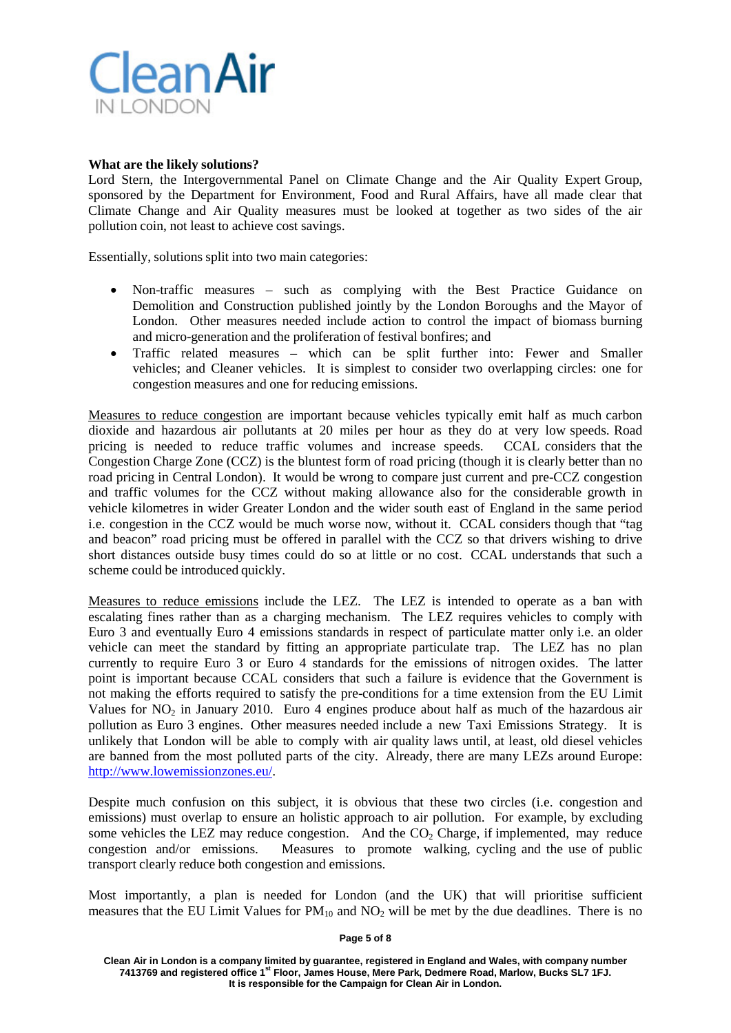

#### **What are the likely solutions?**

Lord Stern, the Intergovernmental Panel on Climate Change and the Air Quality Expert Group, sponsored by the Department for Environment, Food and Rural Affairs, have all made clear that Climate Change and Air Quality measures must be looked at together as two sides of the air pollution coin, not least to achieve cost savings.

Essentially, solutions split into two main categories:

- Non-traffic measures such as complying with the Best Practice Guidance on Demolition and Construction published jointly by the London Boroughs and the Mayor of London. Other measures needed include action to control the impact of biomass burning and micro-generation and the proliferation of festival bonfires; and
- Traffic related measures which can be split further into: Fewer and Smaller vehicles; and Cleaner vehicles. It is simplest to consider two overlapping circles: one for congestion measures and one for reducing emissions.

Measures to reduce congestion are important because vehicles typically emit half as much carbon dioxide and hazardous air pollutants at 20 miles per hour as they do at very low speeds. Road pricing is needed to reduce traffic volumes and increase speeds. CCAL considers that the Congestion Charge Zone (CCZ) is the bluntest form of road pricing (though it is clearly better than no road pricing in Central London). It would be wrong to compare just current and pre-CCZ congestion and traffic volumes for the CCZ without making allowance also for the considerable growth in vehicle kilometres in wider Greater London and the wider south east of England in the same period i.e. congestion in the CCZ would be much worse now, without it. CCAL considers though that "tag and beacon" road pricing must be offered in parallel with the CCZ so that drivers wishing to drive short distances outside busy times could do so at little or no cost. CCAL understands that such a scheme could be introduced quickly.

Measures to reduce emissions include the LEZ. The LEZ is intended to operate as a ban with escalating fines rather than as a charging mechanism. The LEZ requires vehicles to comply with Euro 3 and eventually Euro 4 emissions standards in respect of particulate matter only i.e. an older vehicle can meet the standard by fitting an appropriate particulate trap. The LEZ has no plan currently to require Euro 3 or Euro 4 standards for the emissions of nitrogen oxides. The latter point is important because CCAL considers that such a failure is evidence that the Government is not making the efforts required to satisfy the pre-conditions for a time extension from the EU Limit Values for  $NO<sub>2</sub>$  in January 2010. Euro 4 engines produce about half as much of the hazardous air pollution as Euro 3 engines. Other measures needed include a new Taxi Emissions Strategy. It is unlikely that London will be able to comply with air quality laws until, at least, old diesel vehicles are banned from the most polluted parts of the city. Already, there are many LEZs around Europe: [http://www.lowemissionzones.eu/.](http://www.lowemissionzones.eu/)

Despite much confusion on this subject, it is obvious that these two circles (i.e. congestion and emissions) must overlap to ensure an holistic approach to air pollution. For example, by excluding some vehicles the LEZ may reduce congestion. And the  $CO<sub>2</sub>$  Charge, if implemented, may reduce congestion and/or emissions. Measures to promote walking, cycling and the use of public transport clearly reduce both congestion and emissions.

Most importantly, a plan is needed for London (and the UK) that will prioritise sufficient measures that the EU Limit Values for  $PM_{10}$  and  $NO_2$  will be met by the due deadlines. There is no

#### **Page 5 of 8**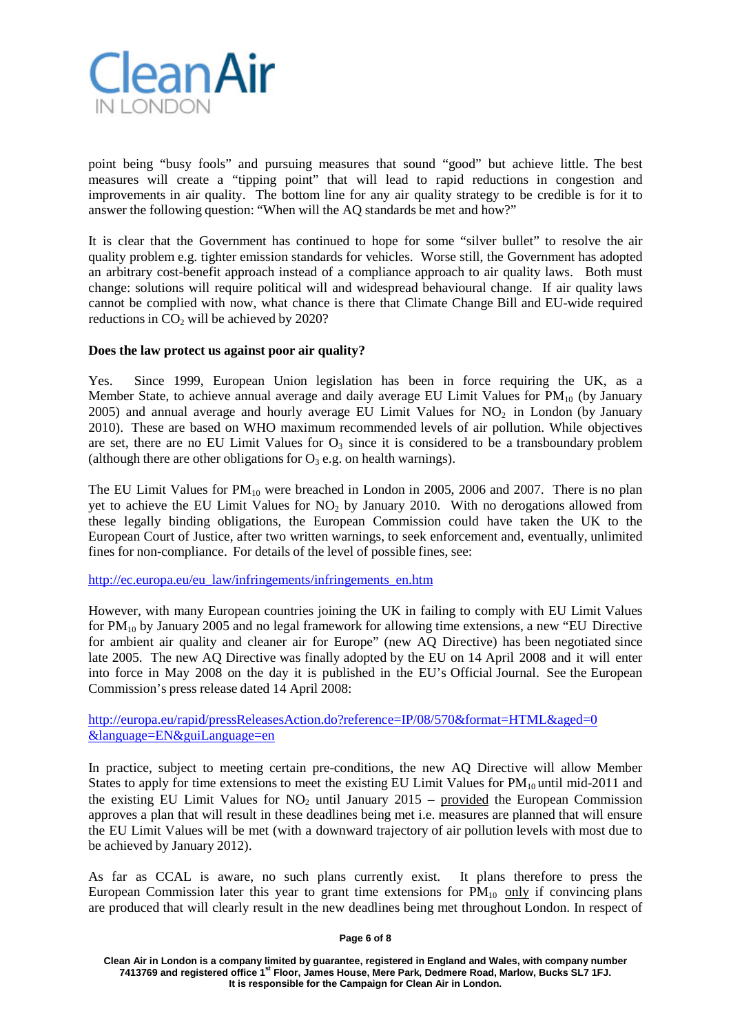

point being "busy fools" and pursuing measures that sound "good" but achieve little. The best measures will create a "tipping point" that will lead to rapid reductions in congestion and improvements in air quality. The bottom line for any air quality strategy to be credible is for it to answer the following question: "When will the AQ standards be met and how?"

It is clear that the Government has continued to hope for some "silver bullet" to resolve the air quality problem e.g. tighter emission standards for vehicles. Worse still, the Government has adopted an arbitrary cost-benefit approach instead of a compliance approach to air quality laws. Both must change: solutions will require political will and widespread behavioural change. If air quality laws cannot be complied with now, what chance is there that Climate Change Bill and EU-wide required reductions in  $CO<sub>2</sub>$  will be achieved by 2020?

## **Does the law protect us against poor air quality?**

Yes. Since 1999, European Union legislation has been in force requiring the UK, as a Member State, to achieve annual average and daily average EU Limit Values for  $PM_{10}$  (by January 2005) and annual average and hourly average EU Limit Values for  $NO<sub>2</sub>$  in London (by January 2010). These are based on WHO maximum recommended levels of air pollution. While objectives are set, there are no EU Limit Values for  $O_3$  since it is considered to be a transboundary problem (although there are other obligations for  $O_3$  e.g. on health warnings).

The EU Limit Values for  $PM_{10}$  were breached in London in 2005, 2006 and 2007. There is no plan yet to achieve the EU Limit Values for  $NO<sub>2</sub>$  by January 2010. With no derogations allowed from these legally binding obligations, the European Commission could have taken the UK to the European Court of Justice, after two written warnings, to seek enforcement and, eventually, unlimited fines for non-compliance. For details of the level of possible fines, see:

[http://ec.europa.eu/eu\\_law/infringements/infringements\\_en.htm](http://ec.europa.eu/eu_law/infringements/infringements_en.htm)

However, with many European countries joining the UK in failing to comply with EU Limit Values for  $PM_{10}$  by January 2005 and no legal framework for allowing time extensions, a new "EU Directive" for ambient air quality and cleaner air for Europe" (new AQ Directive) has been negotiated since late 2005. The new AQ Directive was finally adopted by the EU on 14 April 2008 and it will enter into force in May 2008 on the day it is published in the EU's Official Journal. See the European Commission's press release dated 14 April 2008:

<http://europa.eu/rapid/pressReleasesAction.do?reference=IP/08/570&format=HTML&aged=0> [&language=EN&guiLanguage=en](http://europa.eu/rapid/pressReleasesAction.do?reference=IP/08/570&format=HTML&aged=0)

In practice, subject to meeting certain pre-conditions, the new AQ Directive will allow Member States to apply for time extensions to meet the existing EU Limit Values for  $PM_{10}$  until mid-2011 and the existing EU Limit Values for  $NO<sub>2</sub>$  until January 2015 – provided the European Commission approves a plan that will result in these deadlines being met i.e. measures are planned that will ensure the EU Limit Values will be met (with a downward trajectory of air pollution levels with most due to be achieved by January 2012).

As far as CCAL is aware, no such plans currently exist. It plans therefore to press the European Commission later this year to grant time extensions for  $PM_{10}$  only if convincing plans are produced that will clearly result in the new deadlines being met throughout London. In respect of

#### **Page 6 of 8**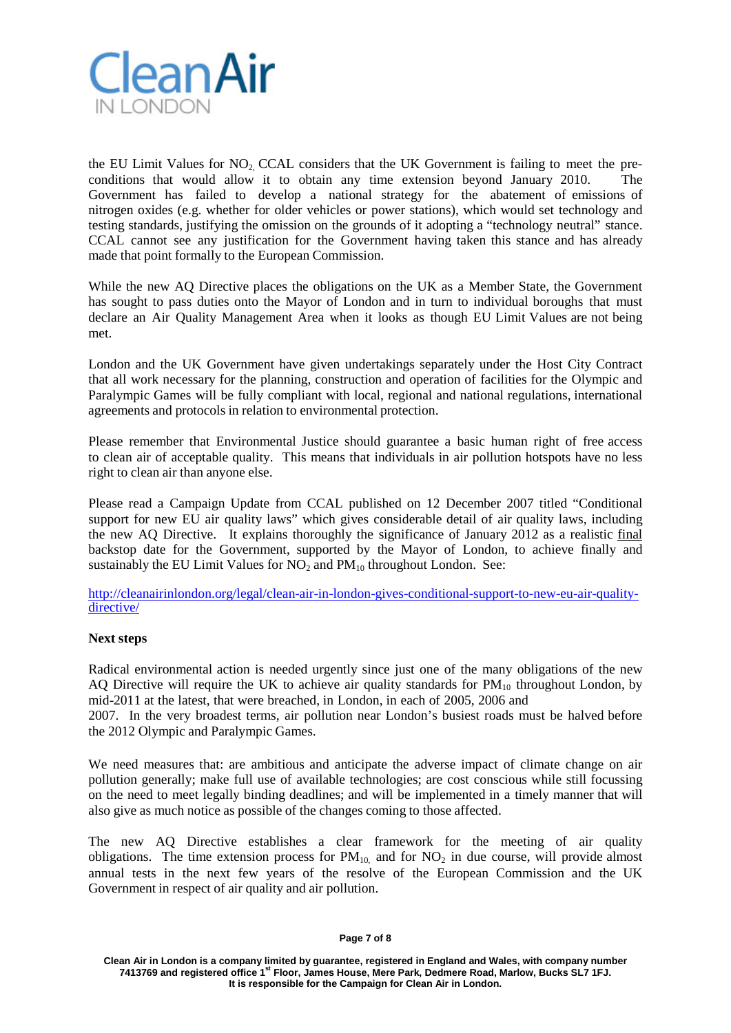

the EU Limit Values for  $NO<sub>2</sub> CCAL$  considers that the UK Government is failing to meet the preconditions that would allow it to obtain any time extension beyond January 2010. The Government has failed to develop a national strategy for the abatement of emissions of nitrogen oxides (e.g. whether for older vehicles or power stations), which would set technology and testing standards, justifying the omission on the grounds of it adopting a "technology neutral" stance. CCAL cannot see any justification for the Government having taken this stance and has already made that point formally to the European Commission.

While the new AQ Directive places the obligations on the UK as a Member State, the Government has sought to pass duties onto the Mayor of London and in turn to individual boroughs that must declare an Air Quality Management Area when it looks as though EU Limit Values are not being met.

London and the UK Government have given undertakings separately under the Host City Contract that all work necessary for the planning, construction and operation of facilities for the Olympic and Paralympic Games will be fully compliant with local, regional and national regulations, international agreements and protocols in relation to environmental protection.

Please remember that Environmental Justice should guarantee a basic human right of free access to clean air of acceptable quality. This means that individuals in air pollution hotspots have no less right to clean air than anyone else.

Please read a Campaign Update from CCAL published on 12 December 2007 titled "Conditional support for new EU air quality laws" which gives considerable detail of air quality laws, including the new AQ Directive. It explains thoroughly the significance of January 2012 as a realistic final backstop date for the Government, supported by the Mayor of London, to achieve finally and sustainably the EU Limit Values for  $NO<sub>2</sub>$  and  $PM<sub>10</sub>$  throughout London. See:

[http://cleanairinlondon.org/legal/clean-air-in-london-gives-conditional-support-to-new-eu-air-quality](http://cleanairinlondon.org/legal/clean-air-in-london-gives-conditional-support-to-new-eu-air-quality-directive/)[directive/](http://cleanairinlondon.org/legal/clean-air-in-london-gives-conditional-support-to-new-eu-air-quality-directive/)

## **Next steps**

Radical environmental action is needed urgently since just one of the many obligations of the new AQ Directive will require the UK to achieve air quality standards for  $PM_{10}$  throughout London, by mid-2011 at the latest, that were breached, in London, in each of 2005, 2006 and

2007. In the very broadest terms, air pollution near London's busiest roads must be halved before the 2012 Olympic and Paralympic Games.

We need measures that: are ambitious and anticipate the adverse impact of climate change on air pollution generally; make full use of available technologies; are cost conscious while still focussing on the need to meet legally binding deadlines; and will be implemented in a timely manner that will also give as much notice as possible of the changes coming to those affected.

The new AQ Directive establishes a clear framework for the meeting of air quality obligations. The time extension process for  $PM_{10}$  and for  $NO<sub>2</sub>$  in due course, will provide almost annual tests in the next few years of the resolve of the European Commission and the UK Government in respect of air quality and air pollution.